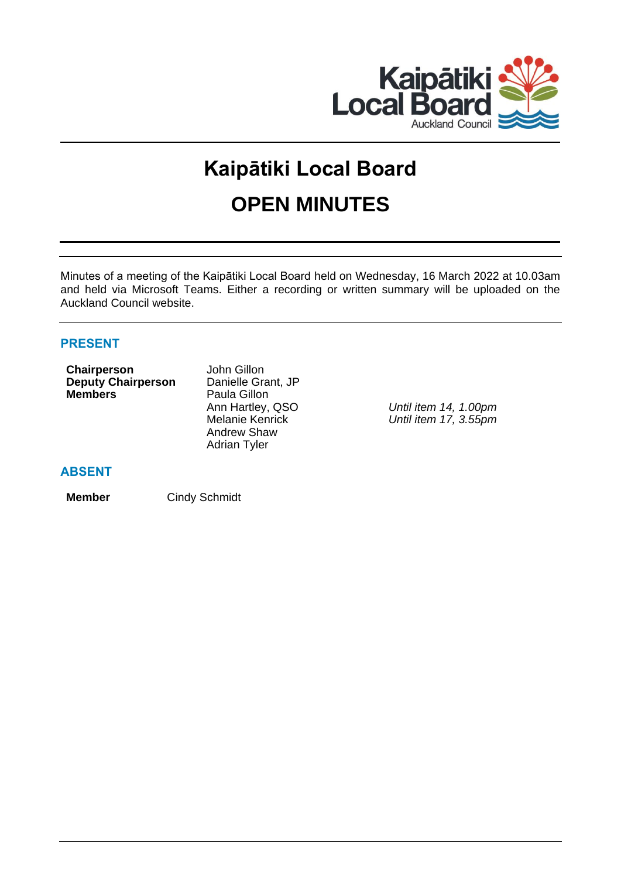

# **Kaipātiki Local Board OPEN MINUTES**

Minutes of a meeting of the Kaipātiki Local Board held on Wednesday, 16 March 2022 at 10.03am and held via Microsoft Teams. Either a recording or written summary will be uploaded on the Auckland Council website.

# **PRESENT**

| Chairperson               | John Gillon            |
|---------------------------|------------------------|
| <b>Deputy Chairperson</b> | Danielle Grant, JP     |
| <b>Members</b>            | Paula Gillon           |
|                           | Ann Hartley, QSO       |
|                           | <b>Melanie Kenrick</b> |
|                           | <b>Andrew Shaw</b>     |
|                           | <b>Adrian Tyler</b>    |
|                           |                        |

Until item 14, 1.00pm Melanie Kenrick *Until item 17, 3.55pm*

# **ABSENT**

**Member** Cindy Schmidt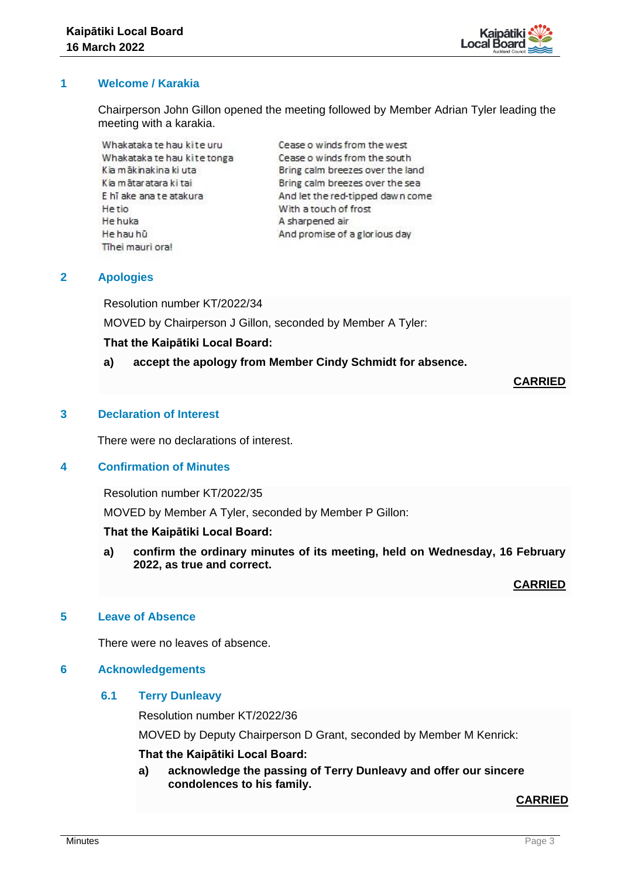

# **1 Welcome / Karakia**

Chairperson John Gillon opened the meeting followed by Member Adrian Tyler leading the meeting with a karakia.

Whakataka te hau kite uru Whakataka te hau kite tonga Kia mākinakina ki uta Kia mātaratara ki tai E hī ake ana te atakura **He tio** He huka He hau hū Tihei mauri oral

Cease o winds from the west Cease o winds from the south Bring calm breezes over the land Bring calm breezes over the sea And let the red-tipped dawn come With a touch of frost A sharpened air And promise of a glorious day

# **2 Apologies**

Resolution number KT/2022/34

MOVED by Chairperson J Gillon, seconded by Member A Tyler:

#### **That the Kaipātiki Local Board:**

**a) accept the apology from Member Cindy Schmidt for absence.** 

#### **CARRIED**

#### **3 Declaration of Interest**

There were no declarations of interest.

#### **4 Confirmation of Minutes**

Resolution number KT/2022/35

MOVED by Member A Tyler, seconded by Member P Gillon:

#### **That the Kaipātiki Local Board:**

**a) confirm the ordinary minutes of its meeting, held on Wednesday, 16 February 2022, as true and correct.**

**CARRIED**

#### **5 Leave of Absence**

There were no leaves of absence.

#### **6 Acknowledgements**

#### **6.1 Terry Dunleavy**

Resolution number KT/2022/36

MOVED by Deputy Chairperson D Grant, seconded by Member M Kenrick:

#### **That the Kaipātiki Local Board:**

**a) acknowledge the passing of Terry Dunleavy and offer our sincere condolences to his family.**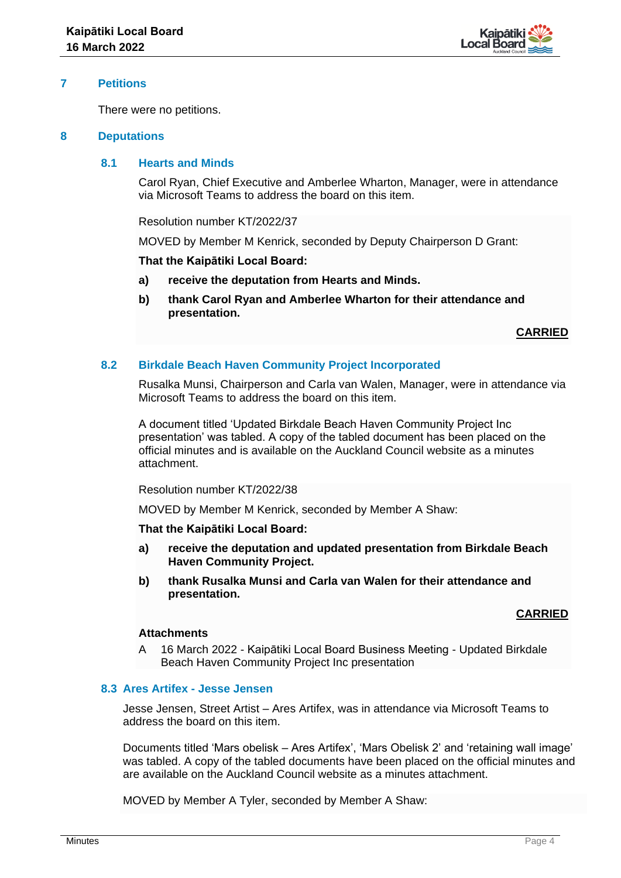

#### **7 Petitions**

There were no petitions.

#### **8 Deputations**

# **8.1 Hearts and Minds**

Carol Ryan, Chief Executive and Amberlee Wharton, Manager, were in attendance via Microsoft Teams to address the board on this item.

Resolution number KT/2022/37

MOVED by Member M Kenrick, seconded by Deputy Chairperson D Grant:

#### **That the Kaipātiki Local Board:**

- **a) receive the deputation from Hearts and Minds.**
- **b) thank Carol Ryan and Amberlee Wharton for their attendance and presentation.**

**CARRIED**

#### **8.2 Birkdale Beach Haven Community Project Incorporated**

Rusalka Munsi, Chairperson and Carla van Walen, Manager, were in attendance via Microsoft Teams to address the board on this item.

A document titled 'Updated Birkdale Beach Haven Community Project Inc presentation' was tabled. A copy of the tabled document has been placed on the official minutes and is available on the Auckland Council website as a minutes attachment.

Resolution number KT/2022/38

MOVED by Member M Kenrick, seconded by Member A Shaw:

**That the Kaipātiki Local Board:**

- **a) receive the deputation and updated presentation from Birkdale Beach Haven Community Project.**
- **b) thank Rusalka Munsi and Carla van Walen for their attendance and presentation.**

#### **CARRIED**

# **Attachments**

A 16 March 2022 - Kaipātiki Local Board Business Meeting - Updated Birkdale Beach Haven Community Project Inc presentation

#### **8.3 Ares Artifex - Jesse Jensen**

Jesse Jensen, Street Artist – Ares Artifex, was in attendance via Microsoft Teams to address the board on this item.

Documents titled 'Mars obelisk – Ares Artifex', 'Mars Obelisk 2' and 'retaining wall image' was tabled. A copy of the tabled documents have been placed on the official minutes and are available on the Auckland Council website as a minutes attachment.

MOVED by Member A Tyler, seconded by Member A Shaw: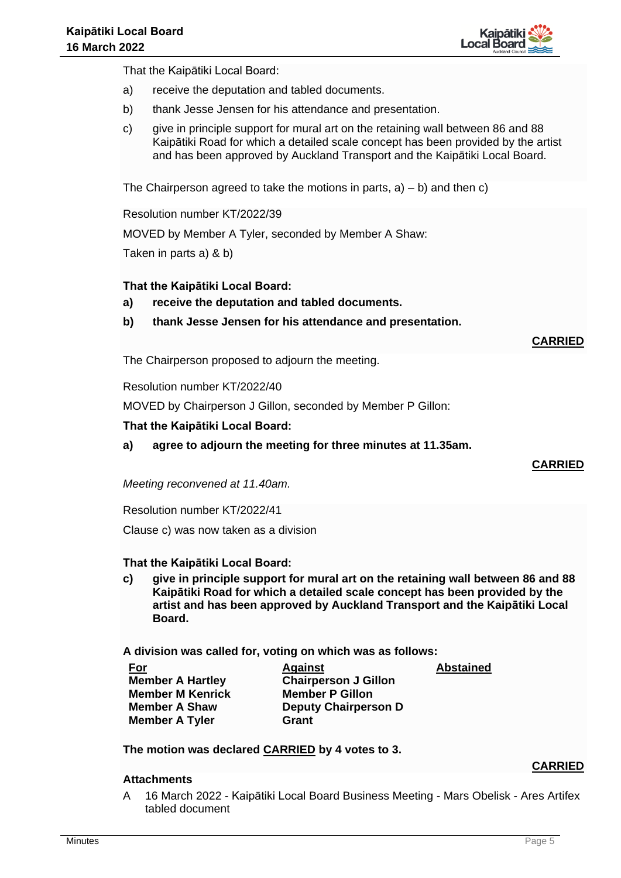

That the Kaipātiki Local Board:

- a) receive the deputation and tabled documents.
- b) thank Jesse Jensen for his attendance and presentation.
- c) give in principle support for mural art on the retaining wall between 86 and 88 Kaipātiki Road for which a detailed scale concept has been provided by the artist and has been approved by Auckland Transport and the Kaipātiki Local Board.

The Chairperson agreed to take the motions in parts,  $a$ ) – b) and then c)

Resolution number KT/2022/39

MOVED by Member A Tyler, seconded by Member A Shaw:

Taken in parts a) & b)

#### **That the Kaipātiki Local Board:**

- **a) receive the deputation and tabled documents.**
- **b) thank Jesse Jensen for his attendance and presentation.**

**CARRIED**

The Chairperson proposed to adjourn the meeting.

Resolution number KT/2022/40

MOVED by Chairperson J Gillon, seconded by Member P Gillon:

#### **That the Kaipātiki Local Board:**

**a) agree to adjourn the meeting for three minutes at 11.35am.** 

#### **CARRIED**

*Meeting reconvened at 11.40am.*

Resolution number KT/2022/41

Clause c) was now taken as a division

#### **That the Kaipātiki Local Board:**

**c) give in principle support for mural art on the retaining wall between 86 and 88 Kaipātiki Road for which a detailed scale concept has been provided by the artist and has been approved by Auckland Transport and the Kaipātiki Local Board.**

**A division was called for, voting on which was as follows:**

| <u>For</u>              | <b>Against</b>              | <b>Abstained</b> |
|-------------------------|-----------------------------|------------------|
| <b>Member A Hartley</b> | <b>Chairperson J Gillon</b> |                  |
| <b>Member M Kenrick</b> | <b>Member P Gillon</b>      |                  |
| <b>Member A Shaw</b>    | <b>Deputy Chairperson D</b> |                  |
| <b>Member A Tyler</b>   | Grant                       |                  |

**The motion was declared CARRIED by 4 votes to 3.**

#### **Attachments**

- **CARRIED**
- A 16 March 2022 Kaipātiki Local Board Business Meeting Mars Obelisk Ares Artifex tabled document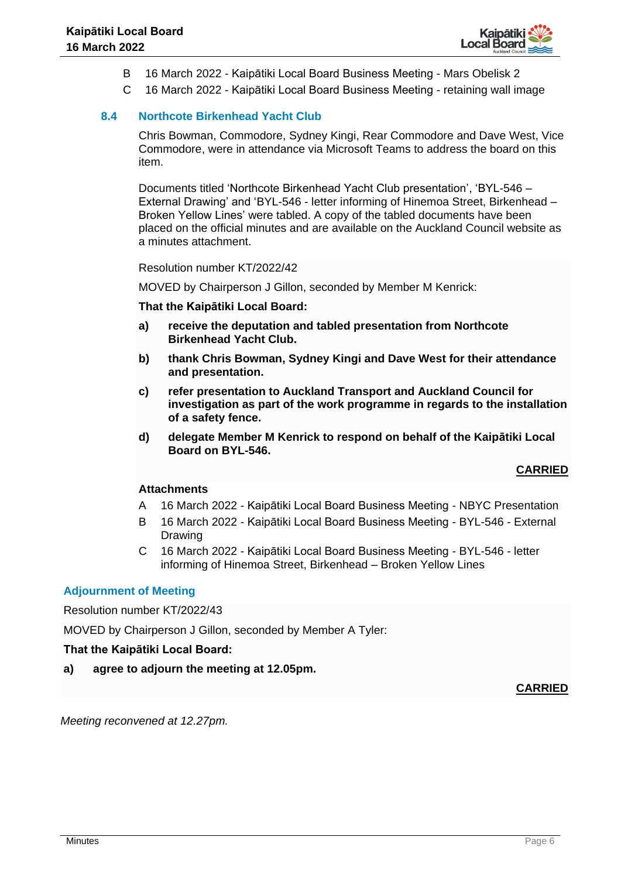

- B 16 March 2022 Kaipātiki Local Board Business Meeting Mars Obelisk 2
- C 16 March 2022 Kaipātiki Local Board Business Meeting retaining wall image

# **8.4 Northcote Birkenhead Yacht Club**

Chris Bowman, Commodore, Sydney Kingi, Rear Commodore and Dave West, Vice Commodore, were in attendance via Microsoft Teams to address the board on this item.

Documents titled 'Northcote Birkenhead Yacht Club presentation', 'BYL-546 – External Drawing' and 'BYL-546 - letter informing of Hinemoa Street, Birkenhead – Broken Yellow Lines' were tabled. A copy of the tabled documents have been placed on the official minutes and are available on the Auckland Council website as a minutes attachment.

Resolution number KT/2022/42

MOVED by Chairperson J Gillon, seconded by Member M Kenrick:

**That the Kaipātiki Local Board:**

- **a) receive the deputation and tabled presentation from Northcote Birkenhead Yacht Club.**
- **b) thank Chris Bowman, Sydney Kingi and Dave West for their attendance and presentation.**
- **c) refer presentation to Auckland Transport and Auckland Council for investigation as part of the work programme in regards to the installation of a safety fence.**
- **d) delegate Member M Kenrick to respond on behalf of the Kaipātiki Local Board on BYL-546.**

#### **CARRIED**

#### **Attachments**

- A 16 March 2022 Kaipātiki Local Board Business Meeting NBYC Presentation
- B 16 March 2022 Kaipātiki Local Board Business Meeting BYL-546 External Drawing
- C 16 March 2022 Kaipātiki Local Board Business Meeting BYL-546 letter informing of Hinemoa Street, Birkenhead – Broken Yellow Lines

# **Adjournment of Meeting**

Resolution number KT/2022/43

MOVED by Chairperson J Gillon, seconded by Member A Tyler:

#### **That the Kaipātiki Local Board:**

**a) agree to adjourn the meeting at 12.05pm.** 

#### **CARRIED**

*Meeting reconvened at 12.27pm.*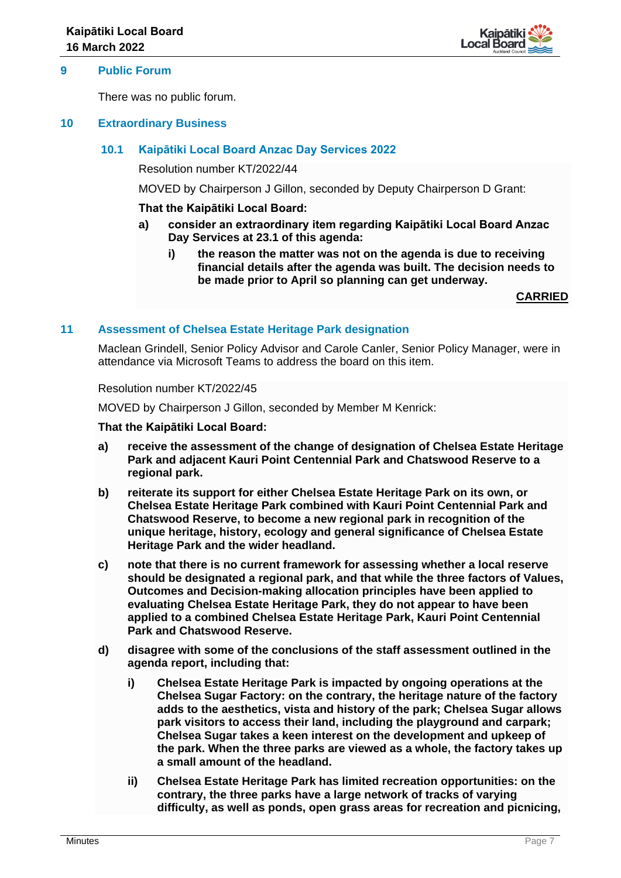

#### **9 Public Forum**

There was no public forum.

#### **10 Extraordinary Business**

# **10.1 Kaipātiki Local Board Anzac Day Services 2022**

Resolution number KT/2022/44

MOVED by Chairperson J Gillon, seconded by Deputy Chairperson D Grant:

#### **That the Kaipātiki Local Board:**

- **a) consider an extraordinary item regarding Kaipātiki Local Board Anzac Day Services at 23.1 of this agenda:**
	- **i) the reason the matter was not on the agenda is due to receiving financial details after the agenda was built. The decision needs to be made prior to April so planning can get underway.**

**CARRIED**

#### **11 Assessment of Chelsea Estate Heritage Park designation**

Maclean Grindell, Senior Policy Advisor and Carole Canler, Senior Policy Manager, were in attendance via Microsoft Teams to address the board on this item.

Resolution number KT/2022/45

MOVED by Chairperson J Gillon, seconded by Member M Kenrick:

- **a) receive the assessment of the change of designation of Chelsea Estate Heritage Park and adjacent Kauri Point Centennial Park and Chatswood Reserve to a regional park.**
- **b) reiterate its support for either Chelsea Estate Heritage Park on its own, or Chelsea Estate Heritage Park combined with Kauri Point Centennial Park and Chatswood Reserve, to become a new regional park in recognition of the unique heritage, history, ecology and general significance of Chelsea Estate Heritage Park and the wider headland.**
- **c) note that there is no current framework for assessing whether a local reserve should be designated a regional park, and that while the three factors of Values, Outcomes and Decision-making allocation principles have been applied to evaluating Chelsea Estate Heritage Park, they do not appear to have been applied to a combined Chelsea Estate Heritage Park, Kauri Point Centennial Park and Chatswood Reserve.**
- **d) disagree with some of the conclusions of the staff assessment outlined in the agenda report, including that:**
	- **i) Chelsea Estate Heritage Park is impacted by ongoing operations at the Chelsea Sugar Factory: on the contrary, the heritage nature of the factory adds to the aesthetics, vista and history of the park; Chelsea Sugar allows park visitors to access their land, including the playground and carpark; Chelsea Sugar takes a keen interest on the development and upkeep of the park. When the three parks are viewed as a whole, the factory takes up a small amount of the headland.**
	- **ii) Chelsea Estate Heritage Park has limited recreation opportunities: on the contrary, the three parks have a large network of tracks of varying difficulty, as well as ponds, open grass areas for recreation and picnicing,**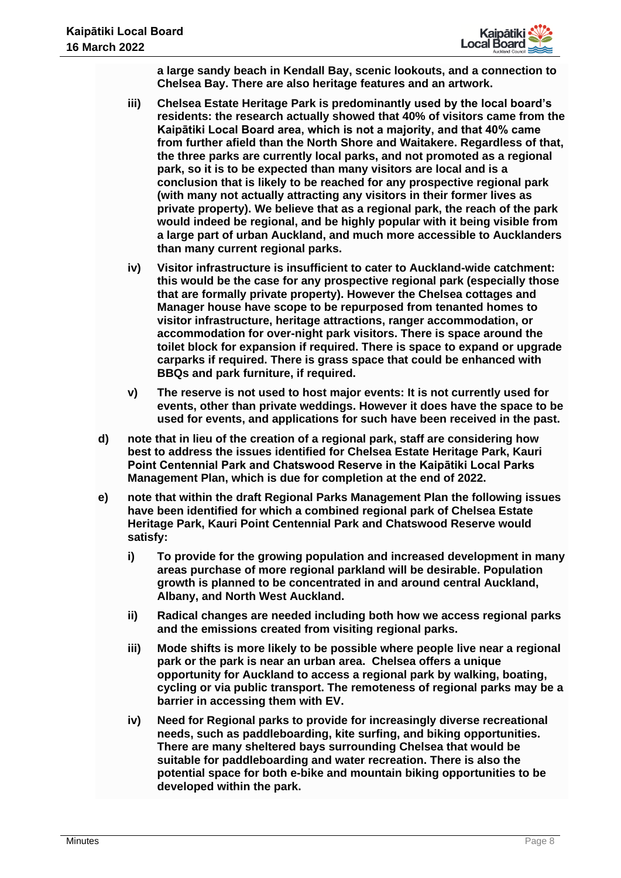

**a large sandy beach in Kendall Bay, scenic lookouts, and a connection to Chelsea Bay. There are also heritage features and an artwork.**

- **iii) Chelsea Estate Heritage Park is predominantly used by the local board's residents: the research actually showed that 40% of visitors came from the Kaipātiki Local Board area, which is not a majority, and that 40% came from further afield than the North Shore and Waitakere. Regardless of that, the three parks are currently local parks, and not promoted as a regional park, so it is to be expected than many visitors are local and is a conclusion that is likely to be reached for any prospective regional park (with many not actually attracting any visitors in their former lives as private property). We believe that as a regional park, the reach of the park would indeed be regional, and be highly popular with it being visible from a large part of urban Auckland, and much more accessible to Aucklanders than many current regional parks.**
- **iv) Visitor infrastructure is insufficient to cater to Auckland-wide catchment: this would be the case for any prospective regional park (especially those that are formally private property). However the Chelsea cottages and Manager house have scope to be repurposed from tenanted homes to visitor infrastructure, heritage attractions, ranger accommodation, or accommodation for over-night park visitors. There is space around the toilet block for expansion if required. There is space to expand or upgrade carparks if required. There is grass space that could be enhanced with BBQs and park furniture, if required.**
- **v) The reserve is not used to host major events: It is not currently used for events, other than private weddings. However it does have the space to be used for events, and applications for such have been received in the past.**
- **d) note that in lieu of the creation of a regional park, staff are considering how best to address the issues identified for Chelsea Estate Heritage Park, Kauri Point Centennial Park and Chatswood Reserve in the Kaipātiki Local Parks Management Plan, which is due for completion at the end of 2022.**
- **e) note that within the draft Regional Parks Management Plan the following issues have been identified for which a combined regional park of Chelsea Estate Heritage Park, Kauri Point Centennial Park and Chatswood Reserve would satisfy:**
	- **i) To provide for the growing population and increased development in many areas purchase of more regional parkland will be desirable. Population growth is planned to be concentrated in and around central Auckland, Albany, and North West Auckland.**
	- **ii) Radical changes are needed including both how we access regional parks and the emissions created from visiting regional parks.**
	- **iii) Mode shifts is more likely to be possible where people live near a regional park or the park is near an urban area. Chelsea offers a unique opportunity for Auckland to access a regional park by walking, boating, cycling or via public transport. The remoteness of regional parks may be a barrier in accessing them with EV.**
	- **iv) Need for Regional parks to provide for increasingly diverse recreational needs, such as paddleboarding, kite surfing, and biking opportunities. There are many sheltered bays surrounding Chelsea that would be suitable for paddleboarding and water recreation. There is also the potential space for both e-bike and mountain biking opportunities to be developed within the park.**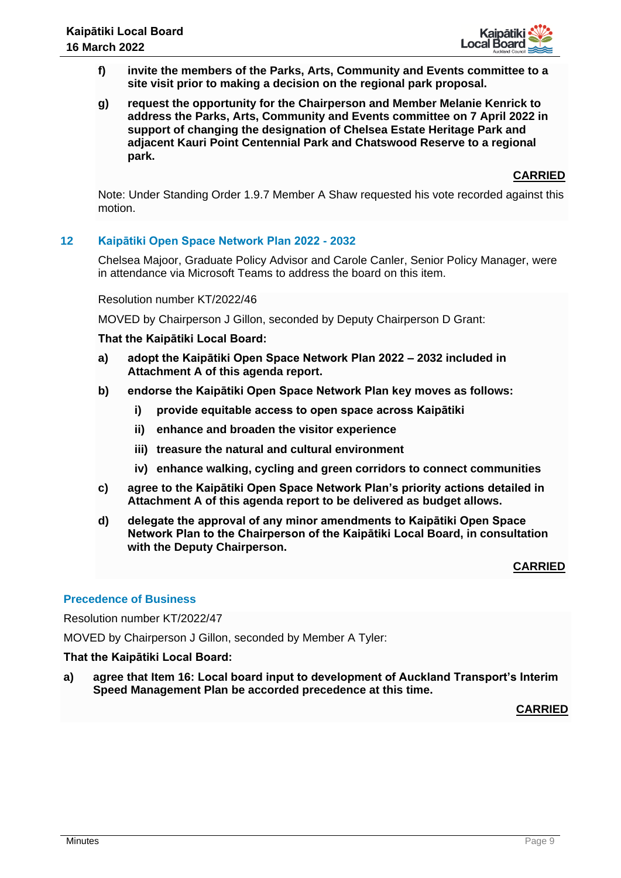

- **f) invite the members of the Parks, Arts, Community and Events committee to a site visit prior to making a decision on the regional park proposal.**
- **g) request the opportunity for the Chairperson and Member Melanie Kenrick to address the Parks, Arts, Community and Events committee on 7 April 2022 in support of changing the designation of Chelsea Estate Heritage Park and adjacent Kauri Point Centennial Park and Chatswood Reserve to a regional park.**

Note: Under Standing Order 1.9.7 Member A Shaw requested his vote recorded against this motion.

# **12 Kaipātiki Open Space Network Plan 2022 - 2032**

Chelsea Majoor, Graduate Policy Advisor and Carole Canler, Senior Policy Manager, were in attendance via Microsoft Teams to address the board on this item.

Resolution number KT/2022/46

MOVED by Chairperson J Gillon, seconded by Deputy Chairperson D Grant:

#### **That the Kaipātiki Local Board:**

- **a) adopt the Kaipātiki Open Space Network Plan 2022 – 2032 included in Attachment A of this agenda report.**
- **b) endorse the Kaipātiki Open Space Network Plan key moves as follows:**
	- **i) provide equitable access to open space across Kaipātiki**
	- **ii) enhance and broaden the visitor experience**
	- **iii) treasure the natural and cultural environment**
	- **iv) enhance walking, cycling and green corridors to connect communities**
- **c) agree to the Kaipātiki Open Space Network Plan's priority actions detailed in Attachment A of this agenda report to be delivered as budget allows.**
- **d) delegate the approval of any minor amendments to Kaipātiki Open Space Network Plan to the Chairperson of the Kaipātiki Local Board, in consultation with the Deputy Chairperson.**

#### **CARRIED**

#### **Precedence of Business**

Resolution number KT/2022/47

MOVED by Chairperson J Gillon, seconded by Member A Tyler:

#### **That the Kaipātiki Local Board:**

**a) agree that Item 16: Local board input to development of Auckland Transport's Interim Speed Management Plan be accorded precedence at this time.**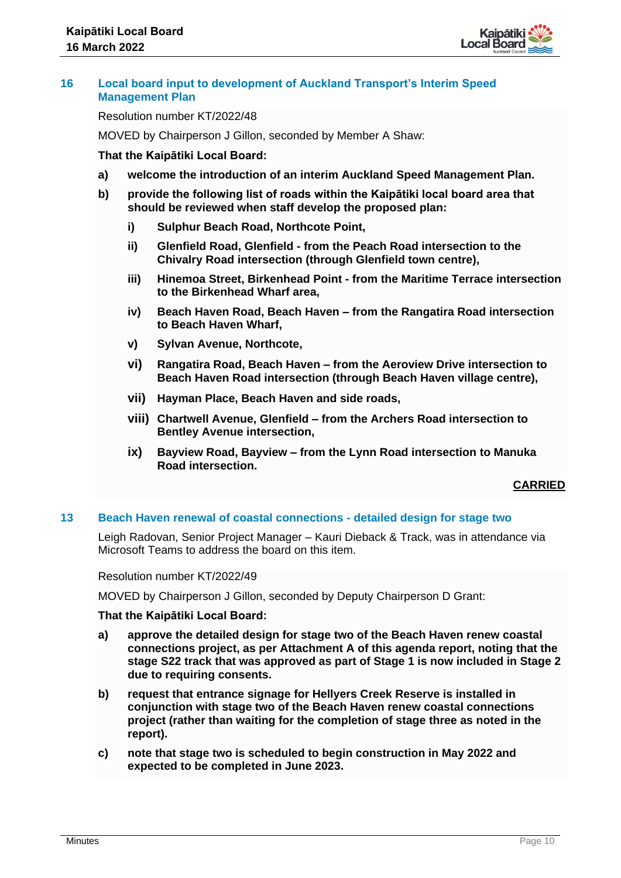

# **16 Local board input to development of Auckland Transport's Interim Speed Management Plan**

Resolution number KT/2022/48

MOVED by Chairperson J Gillon, seconded by Member A Shaw:

# **That the Kaipātiki Local Board:**

- **a) welcome the introduction of an interim Auckland Speed Management Plan.**
- **b) provide the following list of roads within the Kaipātiki local board area that should be reviewed when staff develop the proposed plan:**
	- **i) Sulphur Beach Road, Northcote Point,**
	- **ii) Glenfield Road, Glenfield - from the Peach Road intersection to the Chivalry Road intersection (through Glenfield town centre),**
	- **iii) Hinemoa Street, Birkenhead Point - from the Maritime Terrace intersection to the Birkenhead Wharf area,**
	- **iv) Beach Haven Road, Beach Haven – from the Rangatira Road intersection to Beach Haven Wharf,**
	- **v) Sylvan Avenue, Northcote,**
	- **vi) Rangatira Road, Beach Haven – from the Aeroview Drive intersection to Beach Haven Road intersection (through Beach Haven village centre),**
	- **vii) Hayman Place, Beach Haven and side roads,**
	- **viii) Chartwell Avenue, Glenfield – from the Archers Road intersection to Bentley Avenue intersection,**
	- **ix) Bayview Road, Bayview – from the Lynn Road intersection to Manuka Road intersection.**

# **CARRIED**

#### **13 Beach Haven renewal of coastal connections - detailed design for stage two**

Leigh Radovan, Senior Project Manager – Kauri Dieback & Track, was in attendance via Microsoft Teams to address the board on this item.

Resolution number KT/2022/49

MOVED by Chairperson J Gillon, seconded by Deputy Chairperson D Grant:

- **a) approve the detailed design for stage two of the Beach Haven renew coastal connections project, as per Attachment A of this agenda report, noting that the stage S22 track that was approved as part of Stage 1 is now included in Stage 2 due to requiring consents.**
- **b) request that entrance signage for Hellyers Creek Reserve is installed in conjunction with stage two of the Beach Haven renew coastal connections project (rather than waiting for the completion of stage three as noted in the report).**
- **c) note that stage two is scheduled to begin construction in May 2022 and expected to be completed in June 2023.**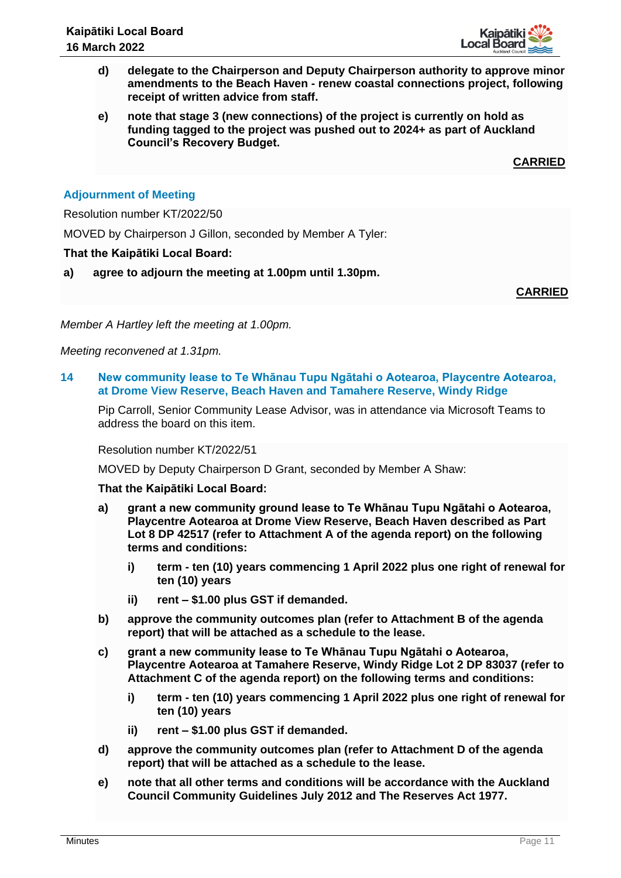

- **d) delegate to the Chairperson and Deputy Chairperson authority to approve minor amendments to the Beach Haven - renew coastal connections project, following receipt of written advice from staff.**
- **e) note that stage 3 (new connections) of the project is currently on hold as funding tagged to the project was pushed out to 2024+ as part of Auckland Council's Recovery Budget.**

# **Adjournment of Meeting**

Resolution number KT/2022/50

MOVED by Chairperson J Gillon, seconded by Member A Tyler:

#### **That the Kaipātiki Local Board:**

**a) agree to adjourn the meeting at 1.00pm until 1.30pm.**

**CARRIED**

*Member A Hartley left the meeting at 1.00pm.* 

*Meeting reconvened at 1.31pm.* 

**14 New community lease to Te Whānau Tupu Ngātahi o Aotearoa, Playcentre Aotearoa, at Drome View Reserve, Beach Haven and Tamahere Reserve, Windy Ridge**

Pip Carroll, Senior Community Lease Advisor, was in attendance via Microsoft Teams to address the board on this item.

Resolution number KT/2022/51

MOVED by Deputy Chairperson D Grant, seconded by Member A Shaw:

- **a) grant a new community ground lease to Te Whānau Tupu Ngātahi o Aotearoa, Playcentre Aotearoa at Drome View Reserve, Beach Haven described as Part Lot 8 DP 42517 (refer to Attachment A of the agenda report) on the following terms and conditions:**
	- **i) term - ten (10) years commencing 1 April 2022 plus one right of renewal for ten (10) years**
	- **ii) rent – \$1.00 plus GST if demanded.**
- **b) approve the community outcomes plan (refer to Attachment B of the agenda report) that will be attached as a schedule to the lease.**
- **c) grant a new community lease to Te Whānau Tupu Ngātahi o Aotearoa, Playcentre Aotearoa at Tamahere Reserve, Windy Ridge Lot 2 DP 83037 (refer to Attachment C of the agenda report) on the following terms and conditions:**
	- **i) term - ten (10) years commencing 1 April 2022 plus one right of renewal for ten (10) years**
	- **ii) rent – \$1.00 plus GST if demanded.**
- **d) approve the community outcomes plan (refer to Attachment D of the agenda report) that will be attached as a schedule to the lease.**
- **e) note that all other terms and conditions will be accordance with the Auckland Council Community Guidelines July 2012 and The Reserves Act 1977.**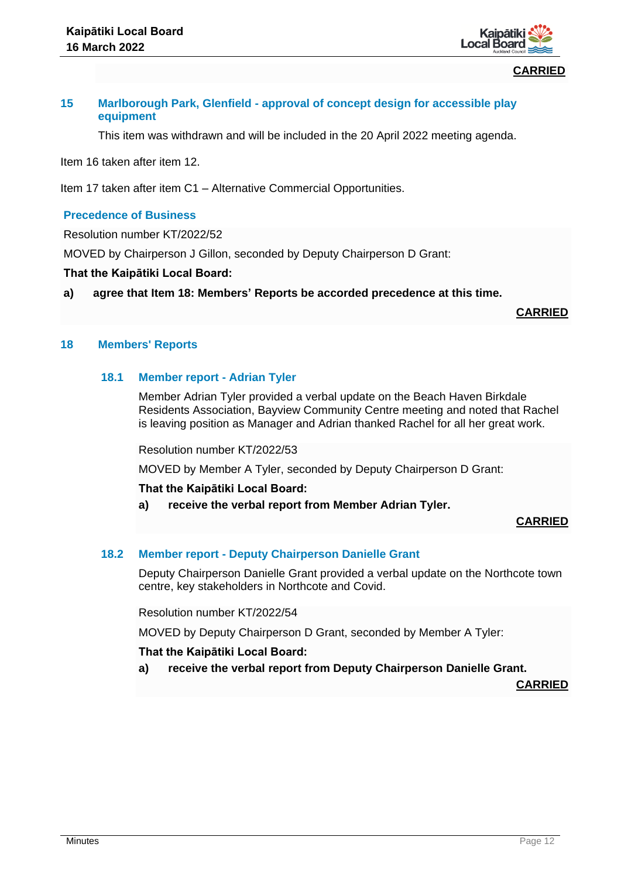

# **15 Marlborough Park, Glenfield - approval of concept design for accessible play equipment**

This item was withdrawn and will be included in the 20 April 2022 meeting agenda.

Item 16 taken after item 12.

Item 17 taken after item C1 – Alternative Commercial Opportunities.

# **Precedence of Business**

Resolution number KT/2022/52

MOVED by Chairperson J Gillon, seconded by Deputy Chairperson D Grant:

#### **That the Kaipātiki Local Board:**

**a) agree that Item 18: Members' Reports be accorded precedence at this time.**

**CARRIED**

# **18 Members' Reports**

#### **18.1 Member report - Adrian Tyler**

Member Adrian Tyler provided a verbal update on the Beach Haven Birkdale Residents Association, Bayview Community Centre meeting and noted that Rachel is leaving position as Manager and Adrian thanked Rachel for all her great work.

Resolution number KT/2022/53

MOVED by Member A Tyler, seconded by Deputy Chairperson D Grant:

#### **That the Kaipātiki Local Board:**

**a) receive the verbal report from Member Adrian Tyler.** 

**CARRIED**

#### **18.2 Member report - Deputy Chairperson Danielle Grant**

Deputy Chairperson Danielle Grant provided a verbal update on the Northcote town centre, key stakeholders in Northcote and Covid.

Resolution number KT/2022/54

MOVED by Deputy Chairperson D Grant, seconded by Member A Tyler:

#### **That the Kaipātiki Local Board:**

**a) receive the verbal report from Deputy Chairperson Danielle Grant.**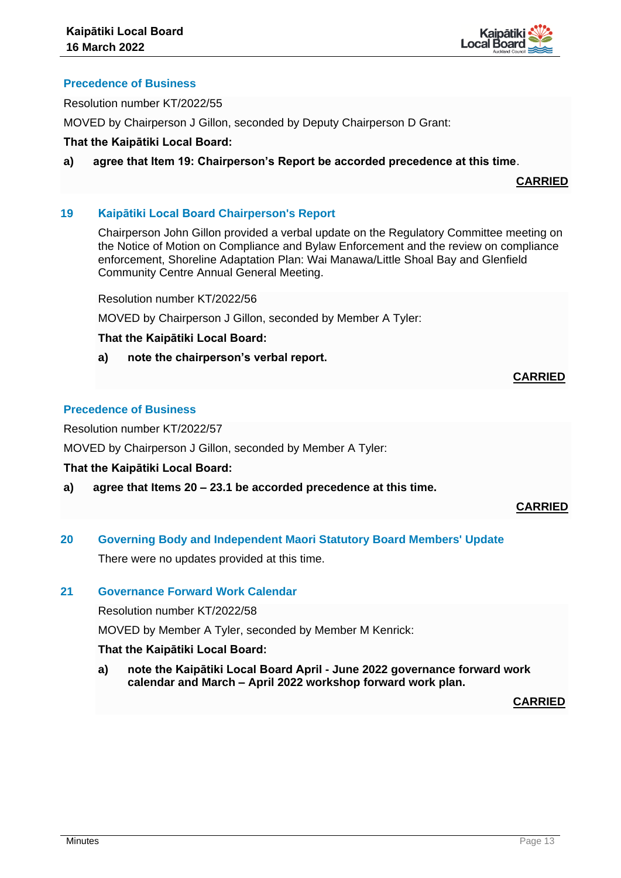

# **Precedence of Business**

Resolution number KT/2022/55

MOVED by Chairperson J Gillon, seconded by Deputy Chairperson D Grant:

# **That the Kaipātiki Local Board:**

**a) agree that Item 19: Chairperson's Report be accorded precedence at this time**.

**CARRIED**

# **19 Kaipātiki Local Board Chairperson's Report**

Chairperson John Gillon provided a verbal update on the Regulatory Committee meeting on the Notice of Motion on Compliance and Bylaw Enforcement and the review on compliance enforcement, Shoreline Adaptation Plan: Wai Manawa/Little Shoal Bay and Glenfield Community Centre Annual General Meeting.

Resolution number KT/2022/56

MOVED by Chairperson J Gillon, seconded by Member A Tyler:

#### **That the Kaipātiki Local Board:**

**a) note the chairperson's verbal report.** 

# **Precedence of Business**

Resolution number KT/2022/57

MOVED by Chairperson J Gillon, seconded by Member A Tyler:

**That the Kaipātiki Local Board:**

**a) agree that Items 20 – 23.1 be accorded precedence at this time.**

# **CARRIED**

**CARRIED**

**20 Governing Body and Independent Maori Statutory Board Members' Update** There were no updates provided at this time.

#### **21 Governance Forward Work Calendar**

Resolution number KT/2022/58

MOVED by Member A Tyler, seconded by Member M Kenrick:

# **That the Kaipātiki Local Board:**

**a) note the Kaipātiki Local Board April - June 2022 governance forward work calendar and March – April 2022 workshop forward work plan.**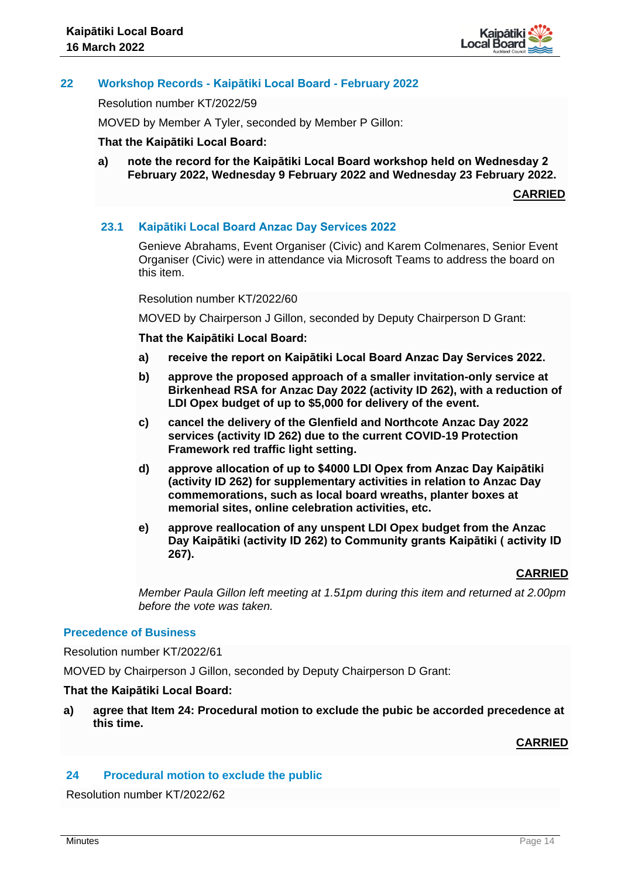

# **22 Workshop Records - Kaipātiki Local Board - February 2022**

Resolution number KT/2022/59

MOVED by Member A Tyler, seconded by Member P Gillon:

#### **That the Kaipātiki Local Board:**

**a) note the record for the Kaipātiki Local Board workshop held on Wednesday 2 February 2022, Wednesday 9 February 2022 and Wednesday 23 February 2022.** 

**CARRIED**

#### **23.1 Kaipātiki Local Board Anzac Day Services 2022**

Genieve Abrahams, Event Organiser (Civic) and Karem Colmenares, Senior Event Organiser (Civic) were in attendance via Microsoft Teams to address the board on this item.

Resolution number KT/2022/60

MOVED by Chairperson J Gillon, seconded by Deputy Chairperson D Grant:

**That the Kaipātiki Local Board:**

- **a) receive the report on Kaipātiki Local Board Anzac Day Services 2022.**
- **b) approve the proposed approach of a smaller invitation-only service at Birkenhead RSA for Anzac Day 2022 (activity ID 262), with a reduction of LDI Opex budget of up to \$5,000 for delivery of the event.**
- **c) cancel the delivery of the Glenfield and Northcote Anzac Day 2022 services (activity ID 262) due to the current COVID-19 Protection Framework red traffic light setting.**
- **d) approve allocation of up to \$4000 LDI Opex from Anzac Day Kaipātiki (activity ID 262) for supplementary activities in relation to Anzac Day commemorations, such as local board wreaths, planter boxes at memorial sites, online celebration activities, etc.**
- **e) approve reallocation of any unspent LDI Opex budget from the Anzac Day Kaipātiki (activity ID 262) to Community grants Kaipātiki ( activity ID 267).**

#### **CARRIED**

*Member Paula Gillon left meeting at 1.51pm during this item and returned at 2.00pm before the vote was taken.* 

#### **Precedence of Business**

Resolution number KT/2022/61

MOVED by Chairperson J Gillon, seconded by Deputy Chairperson D Grant:

#### **That the Kaipātiki Local Board:**

**a) agree that Item 24: Procedural motion to exclude the pubic be accorded precedence at this time.**

#### **CARRIED**

#### **24 Procedural motion to exclude the public**

Resolution number KT/2022/62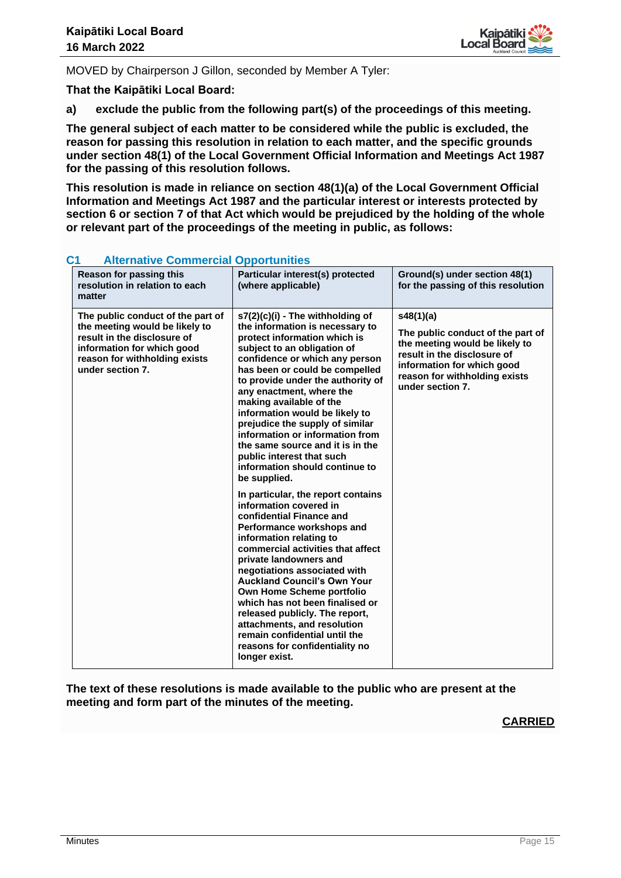

MOVED by Chairperson J Gillon, seconded by Member A Tyler:

**That the Kaipātiki Local Board:**

**a) exclude the public from the following part(s) of the proceedings of this meeting.**

**The general subject of each matter to be considered while the public is excluded, the reason for passing this resolution in relation to each matter, and the specific grounds under section 48(1) of the Local Government Official Information and Meetings Act 1987 for the passing of this resolution follows.**

**This resolution is made in reliance on section 48(1)(a) of the Local Government Official Information and Meetings Act 1987 and the particular interest or interests protected by section 6 or section 7 of that Act which would be prejudiced by the holding of the whole or relevant part of the proceedings of the meeting in public, as follows:**

| Alternative Commercial Opportunities                                                                                                                                                  |                                                                                                                                                                                                                                                                                                                                                                                                                                                                                                                               |                                                                                                                                                                                                    |  |
|---------------------------------------------------------------------------------------------------------------------------------------------------------------------------------------|-------------------------------------------------------------------------------------------------------------------------------------------------------------------------------------------------------------------------------------------------------------------------------------------------------------------------------------------------------------------------------------------------------------------------------------------------------------------------------------------------------------------------------|----------------------------------------------------------------------------------------------------------------------------------------------------------------------------------------------------|--|
| Reason for passing this<br>resolution in relation to each<br>matter                                                                                                                   | Particular interest(s) protected<br>(where applicable)                                                                                                                                                                                                                                                                                                                                                                                                                                                                        | Ground(s) under section 48(1)<br>for the passing of this resolution                                                                                                                                |  |
| The public conduct of the part of<br>the meeting would be likely to<br>result in the disclosure of<br>information for which good<br>reason for withholding exists<br>under section 7. | s7(2)(c)(i) - The withholding of<br>the information is necessary to<br>protect information which is<br>subject to an obligation of<br>confidence or which any person<br>has been or could be compelled<br>to provide under the authority of<br>any enactment, where the<br>making available of the<br>information would be likely to<br>prejudice the supply of similar<br>information or information from<br>the same source and it is in the<br>public interest that such<br>information should continue to<br>be supplied. | s48(1)(a)<br>The public conduct of the part of<br>the meeting would be likely to<br>result in the disclosure of<br>information for which good<br>reason for withholding exists<br>under section 7. |  |
|                                                                                                                                                                                       | In particular, the report contains<br>information covered in<br>confidential Finance and<br>Performance workshops and<br>information relating to<br>commercial activities that affect<br>private landowners and<br>negotiations associated with<br><b>Auckland Council's Own Your</b><br>Own Home Scheme portfolio<br>which has not been finalised or<br>released publicly. The report,<br>attachments, and resolution<br>remain confidential until the<br>reasons for confidentiality no<br>longer exist.                    |                                                                                                                                                                                                    |  |

# **C1 Alternative Commercial Opportunities**

**The text of these resolutions is made available to the public who are present at the meeting and form part of the minutes of the meeting.**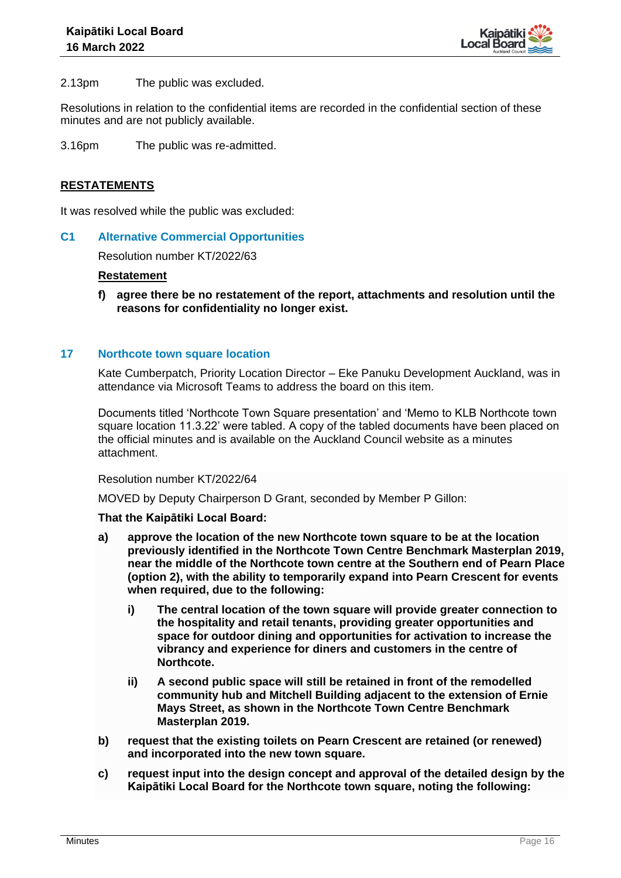

2.13pm The public was excluded.

Resolutions in relation to the confidential items are recorded in the confidential section of these minutes and are not publicly available.

3.16pm The public was re-admitted.

# **RESTATEMENTS**

It was resolved while the public was excluded:

#### **C1 Alternative Commercial Opportunities**

Resolution number KT/2022/63

#### **Restatement**

**f) agree there be no restatement of the report, attachments and resolution until the reasons for confidentiality no longer exist.**

#### **17 Northcote town square location**

Kate Cumberpatch, Priority Location Director – Eke Panuku Development Auckland, was in attendance via Microsoft Teams to address the board on this item.

Documents titled 'Northcote Town Square presentation' and 'Memo to KLB Northcote town square location 11.3.22' were tabled. A copy of the tabled documents have been placed on the official minutes and is available on the Auckland Council website as a minutes attachment.

Resolution number KT/2022/64

MOVED by Deputy Chairperson D Grant, seconded by Member P Gillon:

- **a) approve the location of the new Northcote town square to be at the location previously identified in the Northcote Town Centre Benchmark Masterplan 2019, near the middle of the Northcote town centre at the Southern end of Pearn Place (option 2), with the ability to temporarily expand into Pearn Crescent for events when required, due to the following:**
	- **i) The central location of the town square will provide greater connection to the hospitality and retail tenants, providing greater opportunities and space for outdoor dining and opportunities for activation to increase the vibrancy and experience for diners and customers in the centre of Northcote.**
	- **ii) A second public space will still be retained in front of the remodelled community hub and Mitchell Building adjacent to the extension of Ernie Mays Street, as shown in the Northcote Town Centre Benchmark Masterplan 2019.**
- **b) request that the existing toilets on Pearn Crescent are retained (or renewed) and incorporated into the new town square.**
- **c) request input into the design concept and approval of the detailed design by the Kaipātiki Local Board for the Northcote town square, noting the following:**